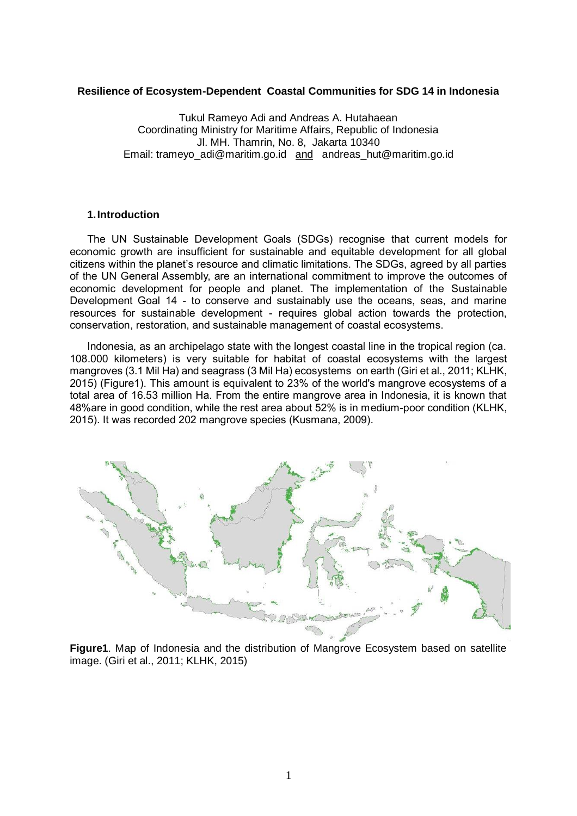### **Resilience of Ecosystem-Dependent Coastal Communities for SDG 14 in Indonesia**

Tukul Rameyo Adi and Andreas A. Hutahaean Coordinating Ministry for Maritime Affairs, Republic of Indonesia Jl. MH. Thamrin, No. 8, Jakarta 10340 Email: tramevo\_adi@maritim.go.id and andreas\_hut@maritim.go.id

#### **1.Introduction**

The UN Sustainable Development Goals (SDGs) recognise that current models for economic growth are insufficient for sustainable and equitable development for all global citizens within the planet's resource and climatic limitations. The SDGs, agreed by all parties of the UN General Assembly, are an international commitment to improve the outcomes of economic development for people and planet. The implementation of the Sustainable Development Goal 14 - to conserve and sustainably use the oceans, seas, and marine resources for sustainable development - requires global action towards the protection, conservation, restoration, and sustainable management of coastal ecosystems.

Indonesia, as an archipelago state with the longest coastal line in the tropical region (ca. 108.000 kilometers) is very suitable for habitat of coastal ecosystems with the largest mangroves (3.1 Mil Ha) and seagrass (3 Mil Ha) ecosystems on earth (Giri et al., 2011; KLHK, 2015) (Figure1). This amount is equivalent to 23% of the world's mangrove ecosystems of a total area of 16.53 million Ha. From the entire mangrove area in Indonesia, it is known that 48%are in good condition, while the rest area about 52% is in medium-poor condition (KLHK, 2015). It was recorded 202 mangrove species (Kusmana, 2009).



**Figure1**. Map of Indonesia and the distribution of Mangrove Ecosystem based on satellite image. (Giri et al., 2011; KLHK, 2015)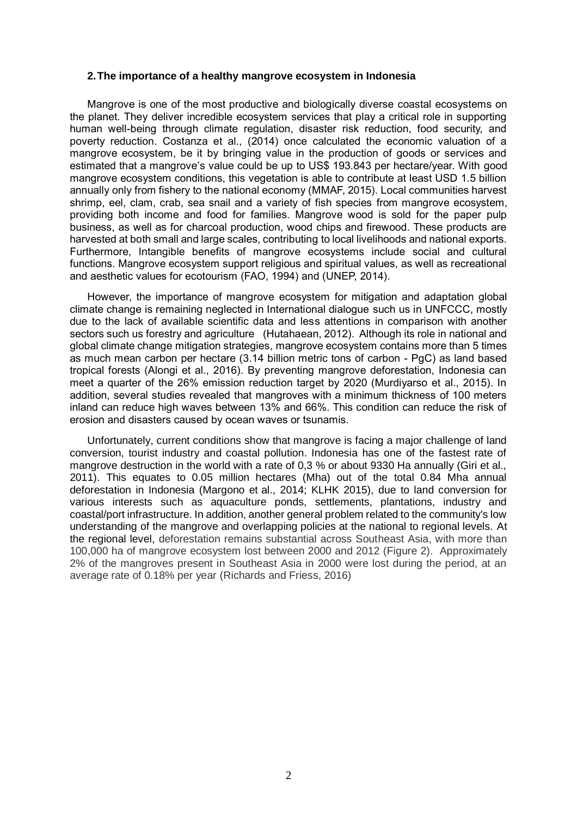#### **2.The importance of a healthy mangrove ecosystem in Indonesia**

Mangrove is one of the most productive and biologically diverse coastal ecosystems on the planet. They deliver incredible ecosystem services that play a critical role in supporting human well-being through climate regulation, disaster risk reduction, food security, and poverty reduction. Costanza et al., (2014) once calculated the economic valuation of a mangrove ecosystem, be it by bringing value in the production of goods or services and estimated that a mangrove's value could be up to US\$ 193.843 per hectare/year. With good mangrove ecosystem conditions, this vegetation is able to contribute at least USD 1.5 billion annually only from fishery to the national economy (MMAF, 2015). Local communities harvest shrimp, eel, clam, crab, sea snail and a variety of fish species from mangrove ecosystem, providing both income and food for families. Mangrove wood is sold for the paper pulp business, as well as for charcoal production, wood chips and firewood. These products are harvested at both small and large scales, contributing to local livelihoods and national exports. Furthermore, Intangible benefits of mangrove ecosystems include social and cultural functions. Mangrove ecosystem support religious and spiritual values, as well as recreational and aesthetic values for ecotourism (FAO, 1994) and (UNEP, 2014).

However, the importance of mangrove ecosystem for mitigation and adaptation global climate change is remaining neglected in International dialogue such us in UNFCCC, mostly due to the lack of available scientific data and less attentions in comparison with another sectors such us forestry and agriculture (Hutahaean, 2012). Although its role in national and global climate change mitigation strategies, mangrove ecosystem contains more than 5 times as much mean carbon per hectare (3.14 billion metric tons of carbon - PgC) as land based tropical forests (Alongi et al., 2016). By preventing mangrove deforestation, Indonesia can meet a quarter of the 26% emission reduction target by 2020 (Murdiyarso et al., 2015). In addition, several studies revealed that mangroves with a minimum thickness of 100 meters inland can reduce high waves between 13% and 66%. This condition can reduce the risk of erosion and disasters caused by ocean waves or tsunamis.

Unfortunately, current conditions show that mangrove is facing a major challenge of land conversion, tourist industry and coastal pollution. Indonesia has one of the fastest rate of mangrove destruction in the world with a rate of 0,3 % or about 9330 Ha annually (Giri et al., 2011). This equates to 0.05 million hectares (Mha) out of the total 0.84 Mha annual deforestation in Indonesia (Margono et al., 2014; KLHK 2015), due to land conversion for various interests such as aquaculture ponds, settlements, plantations, industry and coastal/port infrastructure. In addition, another general problem related to the community's low understanding of the mangrove and overlapping policies at the national to regional levels. At the regional level, deforestation remains substantial across Southeast Asia, with more than 100,000 ha of mangrove ecosystem lost between 2000 and 2012 (Figure 2). Approximately 2% of the mangroves present in Southeast Asia in 2000 were lost during the period, at an average rate of 0.18% per year (Richards and Friess, 2016)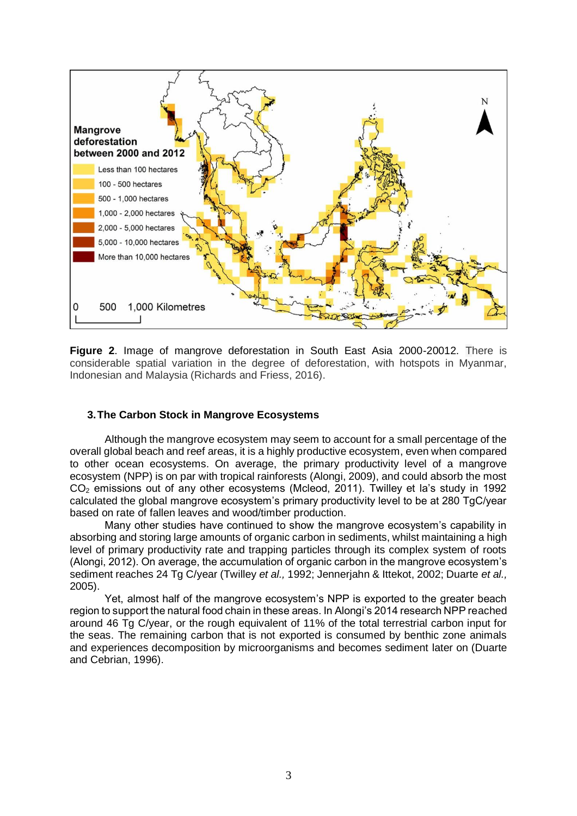

**Figure 2**. Image of mangrove deforestation in South East Asia 2000-20012. There is considerable spatial variation in the degree of deforestation, with hotspots in Myanmar, Indonesian and Malaysia (Richards and Friess, 2016).

# **3.The Carbon Stock in Mangrove Ecosystems**

Although the mangrove ecosystem may seem to account for a small percentage of the overall global beach and reef areas, it is a highly productive ecosystem, even when compared to other ocean ecosystems. On average, the primary productivity level of a mangrove ecosystem (NPP) is on par with tropical rainforests (Alongi, 2009), and could absorb the most  $CO<sub>2</sub>$  emissions out of any other ecosystems (Mcleod, 2011). Twilley et la's study in 1992 calculated the global mangrove ecosystem's primary productivity level to be at 280 TgC/year based on rate of fallen leaves and wood/timber production.

Many other studies have continued to show the mangrove ecosystem's capability in absorbing and storing large amounts of organic carbon in sediments, whilst maintaining a high level of primary productivity rate and trapping particles through its complex system of roots (Alongi, 2012). On average, the accumulation of organic carbon in the mangrove ecosystem's sediment reaches 24 Tg C/year (Twilley *et al.,* 1992; Jennerjahn & Ittekot, 2002; Duarte *et al.,*  2005).

Yet, almost half of the mangrove ecosystem's NPP is exported to the greater beach region to support the natural food chain in these areas. In Alongi's 2014 research NPP reached around 46 Tg C/year, or the rough equivalent of 11% of the total terrestrial carbon input for the seas. The remaining carbon that is not exported is consumed by benthic zone animals and experiences decomposition by microorganisms and becomes sediment later on (Duarte and Cebrian, 1996).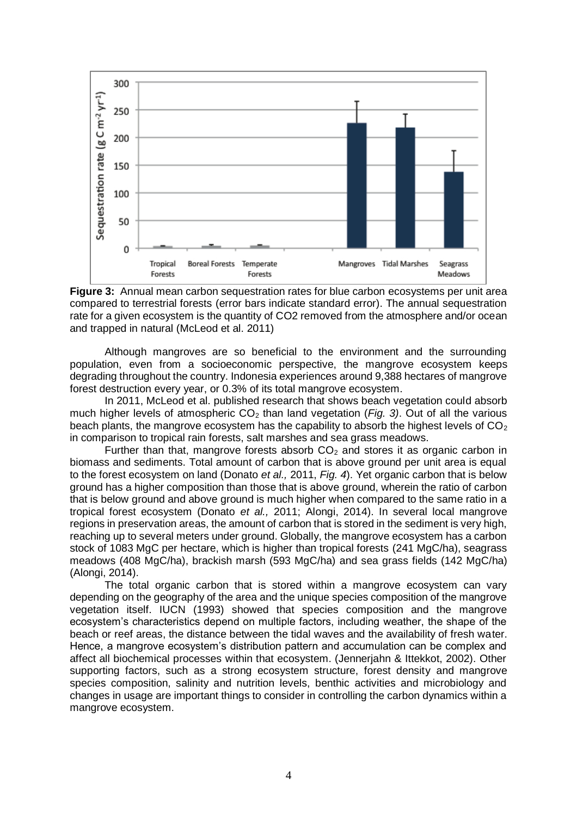

**Figure 3:** Annual mean carbon sequestration rates for blue carbon ecosystems per unit area compared to terrestrial forests (error bars indicate standard error). The annual sequestration rate for a given ecosystem is the quantity of CO2 removed from the atmosphere and/or ocean and trapped in natural (McLeod et al. 2011)

Although mangroves are so beneficial to the environment and the surrounding population, even from a socioeconomic perspective, the mangrove ecosystem keeps degrading throughout the country. Indonesia experiences around 9,388 hectares of mangrove forest destruction every year, or 0.3% of its total mangrove ecosystem.

In 2011, McLeod et al. published research that shows beach vegetation could absorb much higher levels of atmospheric CO<sub>2</sub> than land vegetation (*Fig. 3*). Out of all the various beach plants, the mangrove ecosystem has the capability to absorb the highest levels of  $CO<sub>2</sub>$ in comparison to tropical rain forests, salt marshes and sea grass meadows.

Further than that, mangrove forests absorb  $CO<sub>2</sub>$  and stores it as organic carbon in biomass and sediments. Total amount of carbon that is above ground per unit area is equal to the forest ecosystem on land (Donato *et al.,* 2011, *Fig. 4*). Yet organic carbon that is below ground has a higher composition than those that is above ground, wherein the ratio of carbon that is below ground and above ground is much higher when compared to the same ratio in a tropical forest ecosystem (Donato *et al.,* 2011; Alongi, 2014). In several local mangrove regions in preservation areas, the amount of carbon that is stored in the sediment is very high, reaching up to several meters under ground. Globally, the mangrove ecosystem has a carbon stock of 1083 MgC per hectare, which is higher than tropical forests (241 MgC/ha), seagrass meadows (408 MgC/ha), brackish marsh (593 MgC/ha) and sea grass fields (142 MgC/ha) (Alongi, 2014).

The total organic carbon that is stored within a mangrove ecosystem can vary depending on the geography of the area and the unique species composition of the mangrove vegetation itself. IUCN (1993) showed that species composition and the mangrove ecosystem's characteristics depend on multiple factors, including weather, the shape of the beach or reef areas, the distance between the tidal waves and the availability of fresh water. Hence, a mangrove ecosystem's distribution pattern and accumulation can be complex and affect all biochemical processes within that ecosystem. (Jennerjahn & Ittekkot, 2002). Other supporting factors, such as a strong ecosystem structure, forest density and mangrove species composition, salinity and nutrition levels, benthic activities and microbiology and changes in usage are important things to consider in controlling the carbon dynamics within a mangrove ecosystem.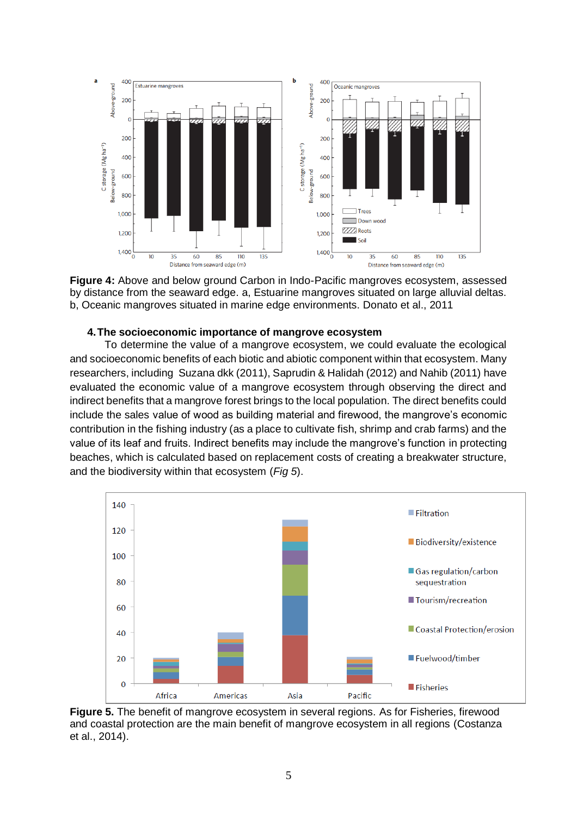

**Figure 4:** Above and below ground Carbon in Indo-Pacific mangroves ecosystem, assessed by distance from the seaward edge. a, Estuarine mangroves situated on large alluvial deltas. b, Oceanic mangroves situated in marine edge environments. Donato et al., 2011

## **4.The socioeconomic importance of mangrove ecosystem**

To determine the value of a mangrove ecosystem, we could evaluate the ecological and socioeconomic benefits of each biotic and abiotic component within that ecosystem. Many researchers, including Suzana dkk (2011), Saprudin & Halidah (2012) and Nahib (2011) have evaluated the economic value of a mangrove ecosystem through observing the direct and indirect benefits that a mangrove forest brings to the local population. The direct benefits could include the sales value of wood as building material and firewood, the mangrove's economic contribution in the fishing industry (as a place to cultivate fish, shrimp and crab farms) and the value of its leaf and fruits. Indirect benefits may include the mangrove's function in protecting beaches, which is calculated based on replacement costs of creating a breakwater structure, and the biodiversity within that ecosystem (*Fig 5*).



**Figure 5.** The benefit of mangrove ecosystem in several regions. As for Fisheries, firewood and coastal protection are the main benefit of mangrove ecosystem in all regions (Costanza et al., 2014).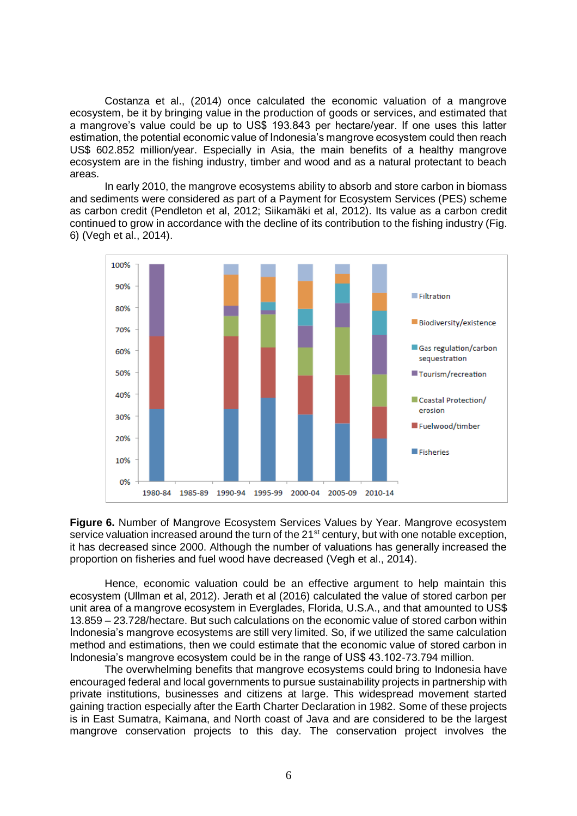Costanza et al., (2014) once calculated the economic valuation of a mangrove ecosystem, be it by bringing value in the production of goods or services, and estimated that a mangrove's value could be up to US\$ 193.843 per hectare/year. If one uses this latter estimation, the potential economic value of Indonesia's mangrove ecosystem could then reach US\$ 602.852 million/year. Especially in Asia, the main benefits of a healthy mangrove ecosystem are in the fishing industry, timber and wood and as a natural protectant to beach areas.

In early 2010, the mangrove ecosystems ability to absorb and store carbon in biomass and sediments were considered as part of a Payment for Ecosystem Services (PES) scheme as carbon credit (Pendleton et al, 2012; Siikamäki et al, 2012). Its value as a carbon credit continued to grow in accordance with the decline of its contribution to the fishing industry (Fig. 6) (Vegh et al., 2014).



**Figure 6.** Number of Mangrove Ecosystem Services Values by Year. Mangrove ecosystem service valuation increased around the turn of the 21<sup>st</sup> century, but with one notable exception, it has decreased since 2000. Although the number of valuations has generally increased the proportion on fisheries and fuel wood have decreased (Vegh et al., 2014).

Hence, economic valuation could be an effective argument to help maintain this ecosystem (Ullman et al, 2012). Jerath et al (2016) calculated the value of stored carbon per unit area of a mangrove ecosystem in Everglades, Florida, U.S.A., and that amounted to US\$ 13.859 – 23.728/hectare. But such calculations on the economic value of stored carbon within Indonesia's mangrove ecosystems are still very limited. So, if we utilized the same calculation method and estimations, then we could estimate that the economic value of stored carbon in Indonesia's mangrove ecosystem could be in the range of US\$ 43.102-73.794 million.

The overwhelming benefits that mangrove ecosystems could bring to Indonesia have encouraged federal and local governments to pursue sustainability projects in partnership with private institutions, businesses and citizens at large. This widespread movement started gaining traction especially after the Earth Charter Declaration in 1982. Some of these projects is in East Sumatra, Kaimana, and North coast of Java and are considered to be the largest mangrove conservation projects to this day. The conservation project involves the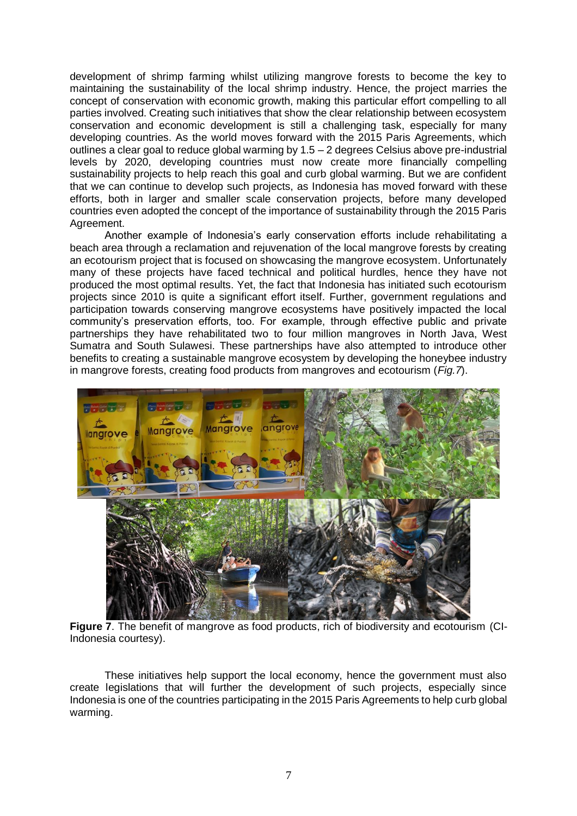development of shrimp farming whilst utilizing mangrove forests to become the key to maintaining the sustainability of the local shrimp industry. Hence, the project marries the concept of conservation with economic growth, making this particular effort compelling to all parties involved. Creating such initiatives that show the clear relationship between ecosystem conservation and economic development is still a challenging task, especially for many developing countries. As the world moves forward with the 2015 Paris Agreements, which outlines a clear goal to reduce global warming by 1.5 – 2 degrees Celsius above pre-industrial levels by 2020, developing countries must now create more financially compelling sustainability projects to help reach this goal and curb global warming. But we are confident that we can continue to develop such projects, as Indonesia has moved forward with these efforts, both in larger and smaller scale conservation projects, before many developed countries even adopted the concept of the importance of sustainability through the 2015 Paris Agreement.

Another example of Indonesia's early conservation efforts include rehabilitating a beach area through a reclamation and rejuvenation of the local mangrove forests by creating an ecotourism project that is focused on showcasing the mangrove ecosystem. Unfortunately many of these projects have faced technical and political hurdles, hence they have not produced the most optimal results. Yet, the fact that Indonesia has initiated such ecotourism projects since 2010 is quite a significant effort itself. Further, government regulations and participation towards conserving mangrove ecosystems have positively impacted the local community's preservation efforts, too. For example, through effective public and private partnerships they have rehabilitated two to four million mangroves in North Java, West Sumatra and South Sulawesi. These partnerships have also attempted to introduce other benefits to creating a sustainable mangrove ecosystem by developing the honeybee industry in mangrove forests, creating food products from mangroves and ecotourism (*Fig.7*).



**Figure 7**. The benefit of mangrove as food products, rich of biodiversity and ecotourism (CI-Indonesia courtesy).

These initiatives help support the local economy, hence the government must also create legislations that will further the development of such projects, especially since Indonesia is one of the countries participating in the 2015 Paris Agreements to help curb global warming.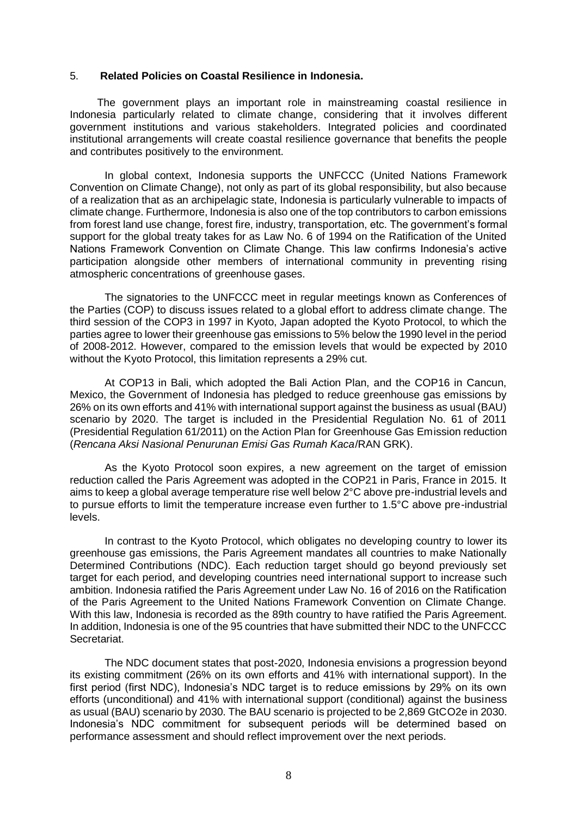### 5. **Related Policies on Coastal Resilience in Indonesia.**

The government plays an important role in mainstreaming coastal resilience in Indonesia particularly related to climate change, considering that it involves different government institutions and various stakeholders. Integrated policies and coordinated institutional arrangements will create coastal resilience governance that benefits the people and contributes positively to the environment.

In global context, Indonesia supports the UNFCCC (United Nations Framework Convention on Climate Change), not only as part of its global responsibility, but also because of a realization that as an archipelagic state, Indonesia is particularly vulnerable to impacts of climate change. Furthermore, Indonesia is also one of the top contributors to carbon emissions from forest land use change, forest fire, industry, transportation, etc. The government's formal support for the global treaty takes for as Law No. 6 of 1994 on the Ratification of the United Nations Framework Convention on Climate Change. This law confirms Indonesia's active participation alongside other members of international community in preventing rising atmospheric concentrations of greenhouse gases.

The signatories to the UNFCCC meet in regular meetings known as Conferences of the Parties (COP) to discuss issues related to a global effort to address climate change. The third session of the COP3 in 1997 in Kyoto, Japan adopted the Kyoto Protocol, to which the parties agree to lower their greenhouse gas emissions to 5% below the 1990 level in the period of 2008-2012. However, compared to the emission levels that would be expected by 2010 without the Kyoto Protocol, this limitation represents a 29% cut.

At COP13 in Bali, which adopted the Bali Action Plan, and the COP16 in Cancun, Mexico, the Government of Indonesia has pledged to reduce greenhouse gas emissions by 26% on its own efforts and 41% with international support against the business as usual (BAU) scenario by 2020. The target is included in the Presidential Regulation No. 61 of 2011 (Presidential Regulation 61/2011) on the Action Plan for Greenhouse Gas Emission reduction (*Rencana Aksi Nasional Penurunan Emisi Gas Rumah Kaca*/RAN GRK).

As the Kyoto Protocol soon expires, a new agreement on the target of emission reduction called the Paris Agreement was adopted in the COP21 in Paris, France in 2015. It aims to keep a global average temperature rise well below 2°C above pre-industrial levels and to pursue efforts to limit the temperature increase even further to 1.5°C above pre-industrial levels.

In contrast to the Kyoto Protocol, which obligates no developing country to lower its greenhouse gas emissions, the Paris Agreement mandates all countries to make Nationally Determined Contributions (NDC). Each reduction target should go beyond previously set target for each period, and developing countries need international support to increase such ambition. Indonesia ratified the Paris Agreement under Law No. 16 of 2016 on the Ratification of the Paris Agreement to the United Nations Framework Convention on Climate Change. With this law, Indonesia is recorded as the 89th country to have ratified the Paris Agreement. In addition, Indonesia is one of the 95 countries that have submitted their NDC to the UNFCCC Secretariat.

The NDC document states that post-2020, Indonesia envisions a progression beyond its existing commitment (26% on its own efforts and 41% with international support). In the first period (first NDC), Indonesia's NDC target is to reduce emissions by 29% on its own efforts (unconditional) and 41% with international support (conditional) against the business as usual (BAU) scenario by 2030. The BAU scenario is projected to be 2,869 GtCO2e in 2030. Indonesia's NDC commitment for subsequent periods will be determined based on performance assessment and should reflect improvement over the next periods.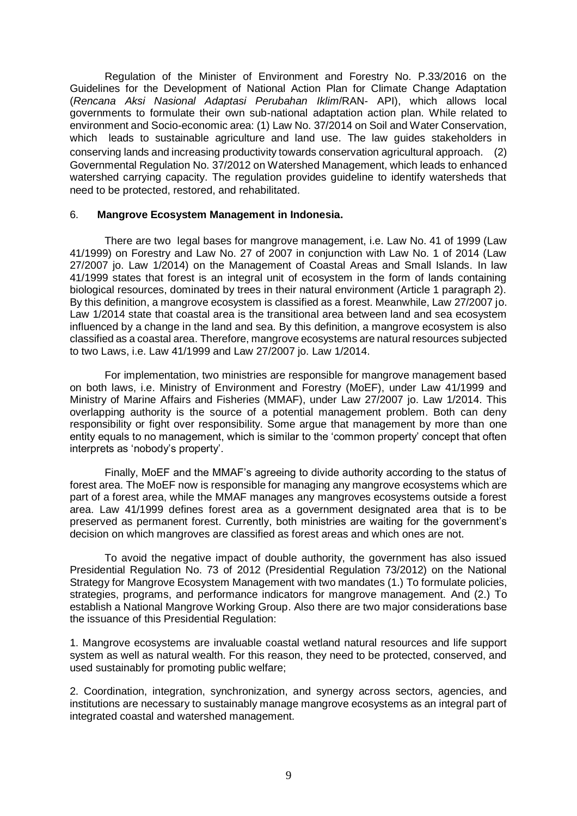Regulation of the Minister of Environment and Forestry No. P.33/2016 on the Guidelines for the Development of National Action Plan for Climate Change Adaptation (*Rencana Aksi Nasional Adaptasi Perubahan Iklim*/RAN- API), which allows local governments to formulate their own sub-national adaptation action plan. While related to environment and Socio-economic area: (1) Law No. 37/2014 on Soil and Water Conservation, which leads to sustainable agriculture and land use. The law guides stakeholders in conserving lands and increasing productivity towards conservation agricultural approach. (2) Governmental Regulation No. 37/2012 on Watershed Management, which leads to enhanced watershed carrying capacity. The regulation provides guideline to identify watersheds that need to be protected, restored, and rehabilitated.

## 6. **Mangrove Ecosystem Management in Indonesia.**

There are two legal bases for mangrove management, i.e. Law No. 41 of 1999 (Law 41/1999) on Forestry and Law No. 27 of 2007 in conjunction with Law No. 1 of 2014 (Law 27/2007 jo. Law 1/2014) on the Management of Coastal Areas and Small Islands. In law 41/1999 states that forest is an integral unit of ecosystem in the form of lands containing biological resources, dominated by trees in their natural environment (Article 1 paragraph 2). By this definition, a mangrove ecosystem is classified as a forest. Meanwhile, Law 27/2007 jo. Law 1/2014 state that coastal area is the transitional area between land and sea ecosystem influenced by a change in the land and sea. By this definition, a mangrove ecosystem is also classified as a coastal area. Therefore, mangrove ecosystems are natural resources subjected to two Laws, i.e. Law 41/1999 and Law 27/2007 jo. Law 1/2014.

For implementation, two ministries are responsible for mangrove management based on both laws, i.e. Ministry of Environment and Forestry (MoEF), under Law 41/1999 and Ministry of Marine Affairs and Fisheries (MMAF), under Law 27/2007 jo. Law 1/2014. This overlapping authority is the source of a potential management problem. Both can deny responsibility or fight over responsibility. Some argue that management by more than one entity equals to no management, which is similar to the 'common property' concept that often interprets as 'nobody's property'.

Finally, MoEF and the MMAF's agreeing to divide authority according to the status of forest area. The MoEF now is responsible for managing any mangrove ecosystems which are part of a forest area, while the MMAF manages any mangroves ecosystems outside a forest area. Law 41/1999 defines forest area as a government designated area that is to be preserved as permanent forest. Currently, both ministries are waiting for the government's decision on which mangroves are classified as forest areas and which ones are not.

To avoid the negative impact of double authority, the government has also issued Presidential Regulation No. 73 of 2012 (Presidential Regulation 73/2012) on the National Strategy for Mangrove Ecosystem Management with two mandates (1.) To formulate policies, strategies, programs, and performance indicators for mangrove management. And (2.) To establish a National Mangrove Working Group. Also there are two major considerations base the issuance of this Presidential Regulation:

1. Mangrove ecosystems are invaluable coastal wetland natural resources and life support system as well as natural wealth. For this reason, they need to be protected, conserved, and used sustainably for promoting public welfare;

2. Coordination, integration, synchronization, and synergy across sectors, agencies, and institutions are necessary to sustainably manage mangrove ecosystems as an integral part of integrated coastal and watershed management.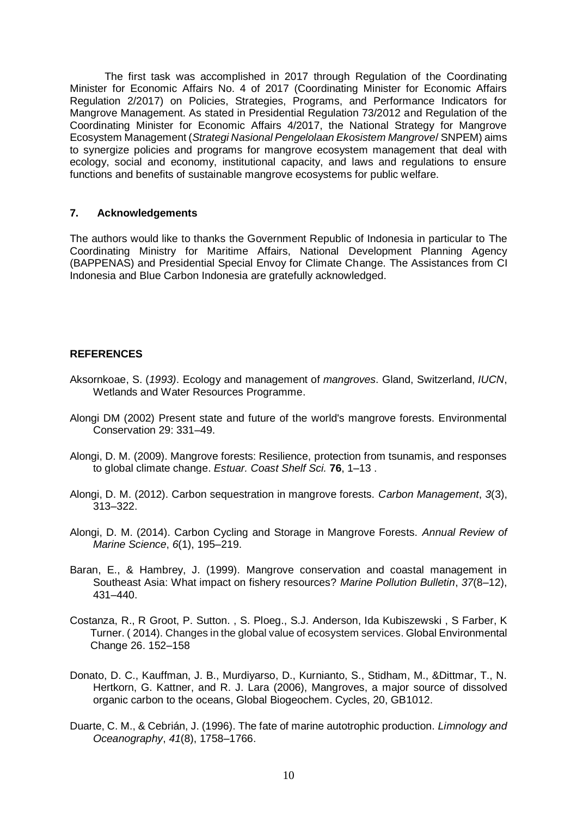The first task was accomplished in 2017 through Regulation of the Coordinating Minister for Economic Affairs No. 4 of 2017 (Coordinating Minister for Economic Affairs Regulation 2/2017) on Policies, Strategies, Programs, and Performance Indicators for Mangrove Management. As stated in Presidential Regulation 73/2012 and Regulation of the Coordinating Minister for Economic Affairs 4/2017, the National Strategy for Mangrove Ecosystem Management (*Strategi Nasional Pengelolaan Ekosistem Mangrove*/ SNPEM) aims to synergize policies and programs for mangrove ecosystem management that deal with ecology, social and economy, institutional capacity, and laws and regulations to ensure functions and benefits of sustainable mangrove ecosystems for public welfare.

## **7. Acknowledgements**

The authors would like to thanks the Government Republic of Indonesia in particular to The Coordinating Ministry for Maritime Affairs, National Development Planning Agency (BAPPENAS) and Presidential Special Envoy for Climate Change. The Assistances from CI Indonesia and Blue Carbon Indonesia are gratefully acknowledged.

# **REFERENCES**

- Aksornkoae, S. (*1993)*. Ecology and management of *mangroves*. Gland, Switzerland, *IUCN*, Wetlands and Water Resources Programme.
- Alongi DM (2002) Present state and future of the world's mangrove forests. Environmental Conservation 29: 331–49.
- Alongi, D. M. (2009). Mangrove forests: Resilience, protection from tsunamis, and responses to global climate change. *Estuar. Coast Shelf Sci.* **76**, 1–13 .
- Alongi, D. M. (2012). Carbon sequestration in mangrove forests. *Carbon Management*, *3*(3), 313–322.
- Alongi, D. M. (2014). Carbon Cycling and Storage in Mangrove Forests. *Annual Review of Marine Science*, *6*(1), 195–219.
- Baran, E., & Hambrey, J. (1999). Mangrove conservation and coastal management in Southeast Asia: What impact on fishery resources? *Marine Pollution Bulletin*, *37*(8–12), 431–440.
- Costanza, R., R Groot, P. Sutton. , S. Ploeg., S.J. Anderson, Ida Kubiszewski , S Farber, K Turner. ( 2014). Changes in the global value of ecosystem services. Global Environmental Change 26. 152–158
- Donato, D. C., Kauffman, J. B., Murdiyarso, D., Kurnianto, S., Stidham, M., &Dittmar, T., N. Hertkorn, G. Kattner, and R. J. Lara (2006), Mangroves, a major source of dissolved organic carbon to the oceans, Global Biogeochem. Cycles, 20, GB1012.
- Duarte, C. M., & Cebrián, J. (1996). The fate of marine autotrophic production. *Limnology and Oceanography*, *41*(8), 1758–1766.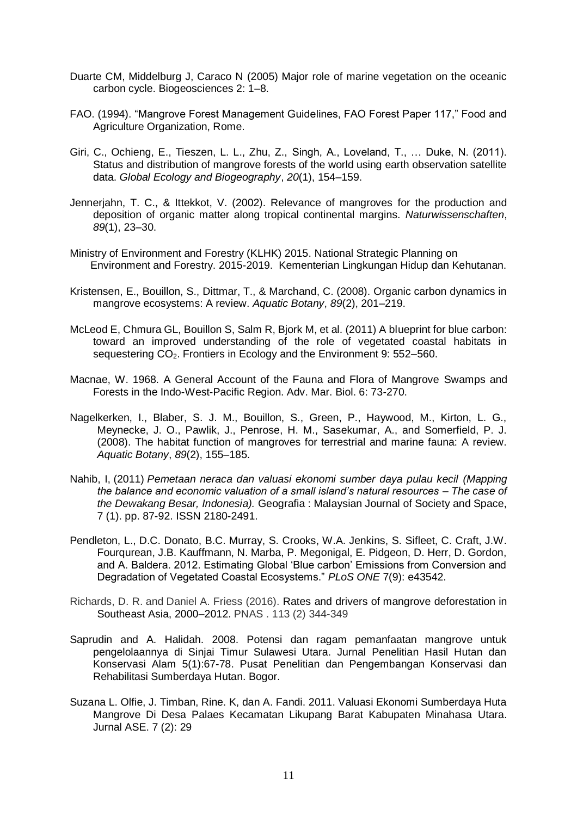- Duarte CM, Middelburg J, Caraco N (2005) Major role of marine vegetation on the oceanic carbon cycle. Biogeosciences 2: 1–8.
- FAO. (1994). "Mangrove Forest Management Guidelines, FAO Forest Paper 117," Food and Agriculture Organization, Rome.
- Giri, C., Ochieng, E., Tieszen, L. L., Zhu, Z., Singh, A., Loveland, T., … Duke, N. (2011). Status and distribution of mangrove forests of the world using earth observation satellite data. *Global Ecology and Biogeography*, *20*(1), 154–159.
- Jennerjahn, T. C., & Ittekkot, V. (2002). Relevance of mangroves for the production and deposition of organic matter along tropical continental margins. *Naturwissenschaften*, *89*(1), 23–30.
- Ministry of Environment and Forestry (KLHK) 2015. National Strategic Planning on Environment and Forestry. 2015-2019. Kementerian Lingkungan Hidup dan Kehutanan.
- Kristensen, E., Bouillon, S., Dittmar, T., & Marchand, C. (2008). Organic carbon dynamics in mangrove ecosystems: A review. *Aquatic Botany*, *89*(2), 201–219.
- McLeod E, Chmura GL, Bouillon S, Salm R, Bjork M, et al. (2011) A blueprint for blue carbon: toward an improved understanding of the role of vegetated coastal habitats in sequestering CO2. Frontiers in Ecology and the Environment 9: 552–560.
- Macnae, W. 1968. A General Account of the Fauna and Flora of Mangrove Swamps and Forests in the Indo-West-Pacific Region. Adv. Mar. Biol. 6: 73-270.
- Nagelkerken, I., Blaber, S. J. M., Bouillon, S., Green, P., Haywood, M., Kirton, L. G., Meynecke, J. O., Pawlik, J., Penrose, H. M., Sasekumar, A., and Somerfield, P. J. (2008). The habitat function of mangroves for terrestrial and marine fauna: A review. *Aquatic Botany*, *89*(2), 155–185.
- Nahib, I, (2011) *Pemetaan neraca dan valuasi ekonomi sumber daya pulau kecil (Mapping the balance and economic valuation of a small island's natural resources – The case of the Dewakang Besar, Indonesia).* Geografia : Malaysian Journal of Society and Space, 7 (1). pp. 87-92. ISSN 2180-2491.
- Pendleton, L., D.C. Donato, B.C. Murray, S. Crooks, W.A. Jenkins, S. Sifleet, C. Craft, J.W. Fourqurean, J.B. Kauffmann, N. Marba, P. Megonigal, E. Pidgeon, D. Herr, D. Gordon, and A. Baldera. 2012. Estimating Global 'Blue carbon' Emissions from Conversion and Degradation of Vegetated Coastal Ecosystems." *PLoS ONE* 7(9): e43542.
- Richards, D. R. and Daniel A. Friess (2016). Rates and drivers of mangrove deforestation in Southeast Asia, 2000–2012. PNAS . 113 (2) 344-349
- Saprudin and A. Halidah. 2008. Potensi dan ragam pemanfaatan mangrove untuk pengelolaannya di Sinjai Timur Sulawesi Utara. Jurnal Penelitian Hasil Hutan dan Konservasi Alam 5(1):67-78. Pusat Penelitian dan Pengembangan Konservasi dan Rehabilitasi Sumberdaya Hutan. Bogor.
- Suzana L. Olfie, J. Timban, Rine. K, dan A. Fandi. 2011. Valuasi Ekonomi Sumberdaya Huta Mangrove Di Desa Palaes Kecamatan Likupang Barat Kabupaten Minahasa Utara. Jurnal ASE. 7 (2): 29